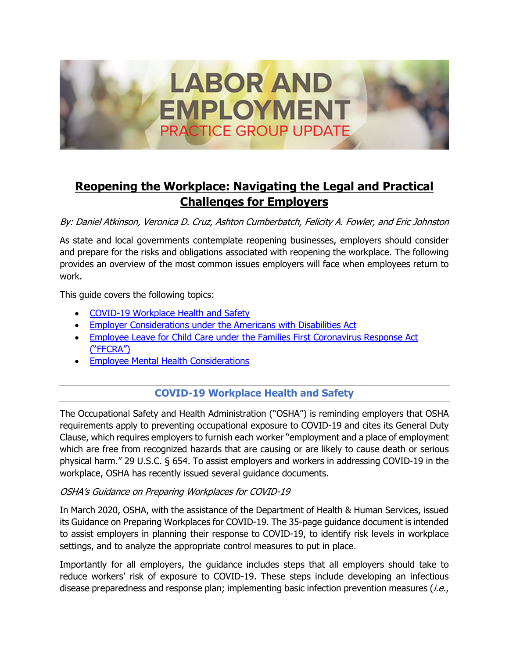

# **Reopening the Workplace: Navigating the Legal and Practical Challenges for Employers**

By: Daniel Atkinson, Veronica D. Cruz, Ashton Cumberbatch, Felicity A. Fowler, and Eric Johnston

As state and local governments contemplate reopening businesses, employers should consider and prepare for the risks and obligations associated with reopening the workplace. The following provides an overview of the most common issues employers will face when employees return to work.

This guide covers the following topics:

- COVID-19 Workplace Health and Safety
- [Employer Considerations under the Americans with Disabilities Act](#page-3-0)
- [Employee Leave for Child Care under the Families First Coronavirus Response Act](#page-6-0)  ("FFCRA")
- [Employee Mental Health Considerations](#page-7-0)

# **COVID-19 Workplace Health and Safety**

The Occupational Safety and Health Administration ("OSHA") is reminding employers that OSHA requirements apply to preventing occupational exposure to COVID-19 and cites its General Duty Clause, which requires employers to furnish each worker "employment and a place of employment which are free from recognized hazards that are causing or are likely to cause death or serious physical harm." 29 U.S.C. § 654. To assist employers and workers in addressing COVID-19 in the workplace, OSHA has recently issued several guidance documents.

## OSHA's Guidance on Preparing Workplaces for COVID-19

In March 2020, OSHA, with the assistance of the Department of Health & Human Services, issued its Guidance on Preparing Workplaces for COVID-19. The 35-page guidance document is intended to assist employers in planning their response to COVID-19, to identify risk levels in workplace settings, and to analyze the appropriate control measures to put in place.

Importantly for all employers, the guidance includes steps that all employers should take to reduce workers' risk of exposure to COVID-19. These steps include developing an infectious disease preparedness and response plan; implementing basic infection prevention measures (*i.e.*,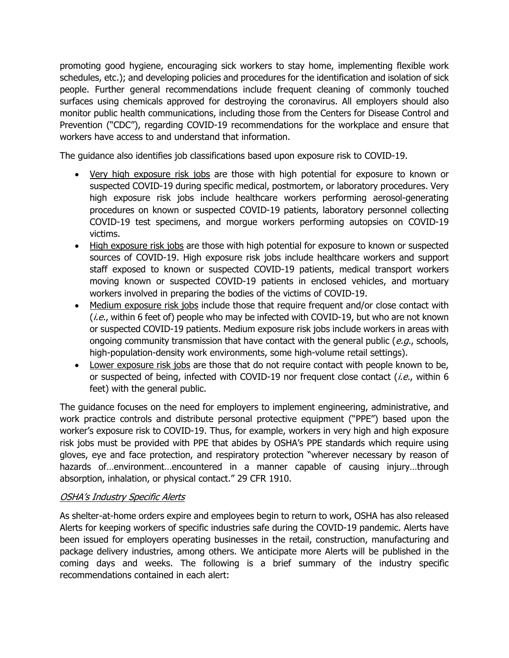promoting good hygiene, encouraging sick workers to stay home, implementing flexible work schedules, etc.); and developing policies and procedures for the identification and isolation of sick people. Further general recommendations include frequent cleaning of commonly touched surfaces using chemicals approved for destroying the coronavirus. All employers should also monitor public health communications, including those from the Centers for Disease Control and Prevention ("CDC"), regarding COVID-19 recommendations for the workplace and ensure that workers have access to and understand that information.

The guidance also identifies job classifications based upon exposure risk to COVID-19.

- Very high exposure risk jobs are those with high potential for exposure to known or suspected COVID-19 during specific medical, postmortem, or laboratory procedures. Very high exposure risk jobs include healthcare workers performing aerosol-generating procedures on known or suspected COVID-19 patients, laboratory personnel collecting COVID-19 test specimens, and morgue workers performing autopsies on COVID-19 victims.
- High exposure risk jobs are those with high potential for exposure to known or suspected sources of COVID-19. High exposure risk jobs include healthcare workers and support staff exposed to known or suspected COVID-19 patients, medical transport workers moving known or suspected COVID-19 patients in enclosed vehicles, and mortuary workers involved in preparing the bodies of the victims of COVID-19.
- Medium exposure risk jobs include those that require frequent and/or close contact with  $(i.e.,$  within 6 feet of) people who may be infected with COVID-19, but who are not known or suspected COVID-19 patients. Medium exposure risk jobs include workers in areas with ongoing community transmission that have contact with the general public ( $e.g.,$  schools, high-population-density work environments, some high-volume retail settings).
- Lower exposure risk jobs are those that do not require contact with people known to be, or suspected of being, infected with COVID-19 nor frequent close contact (*i.e.*, within 6 feet) with the general public.

The guidance focuses on the need for employers to implement engineering, administrative, and work practice controls and distribute personal protective equipment ("PPE") based upon the worker's exposure risk to COVID-19. Thus, for example, workers in very high and high exposure risk jobs must be provided with PPE that abides by OSHA's PPE standards which require using gloves, eye and face protection, and respiratory protection "wherever necessary by reason of hazards of…environment…encountered in a manner capable of causing injury…through absorption, inhalation, or physical contact." 29 CFR 1910.

## OSHA's Industry Specific Alerts

As shelter-at-home orders expire and employees begin to return to work, OSHA has also released Alerts for keeping workers of specific industries safe during the COVID-19 pandemic. Alerts have been issued for employers operating businesses in the retail, construction, manufacturing and package delivery industries, among others. We anticipate more Alerts will be published in the coming days and weeks. The following is a brief summary of the industry specific recommendations contained in each alert: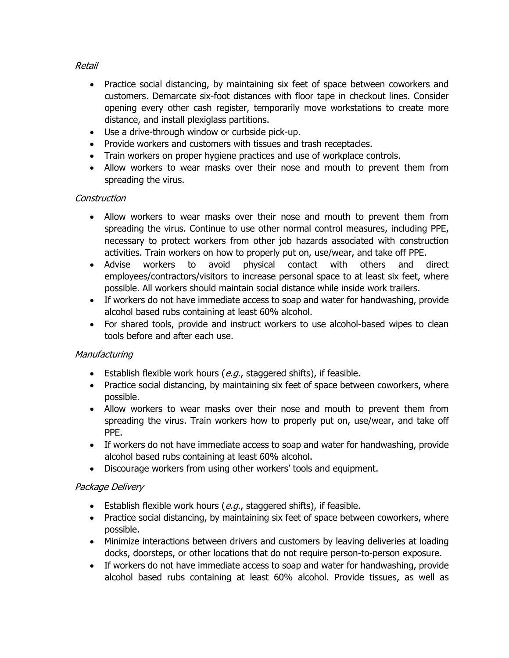## Retail

- Practice social distancing, by maintaining six feet of space between coworkers and customers. Demarcate six-foot distances with floor tape in checkout lines. Consider opening every other cash register, temporarily move workstations to create more distance, and install plexiglass partitions.
- Use a drive-through window or curbside pick-up.
- Provide workers and customers with tissues and trash receptacles.
- Train workers on proper hygiene practices and use of workplace controls.
- Allow workers to wear masks over their nose and mouth to prevent them from spreading the virus.

## Construction

- Allow workers to wear masks over their nose and mouth to prevent them from spreading the virus. Continue to use other normal control measures, including PPE, necessary to protect workers from other job hazards associated with construction activities. Train workers on how to properly put on, use/wear, and take off PPE.
- Advise workers to avoid physical contact with others and direct employees/contractors/visitors to increase personal space to at least six feet, where possible. All workers should maintain social distance while inside work trailers.
- If workers do not have immediate access to soap and water for handwashing, provide alcohol based rubs containing at least 60% alcohol.
- For shared tools, provide and instruct workers to use alcohol-based wipes to clean tools before and after each use.

## **Manufacturing**

- Establish flexible work hours  $(e.g.,$  staggered shifts), if feasible.
- Practice social distancing, by maintaining six feet of space between coworkers, where possible.
- Allow workers to wear masks over their nose and mouth to prevent them from spreading the virus. Train workers how to properly put on, use/wear, and take off PPE.
- If workers do not have immediate access to soap and water for handwashing, provide alcohol based rubs containing at least 60% alcohol.
- Discourage workers from using other workers' tools and equipment.

#### Package Delivery

- Establish flexible work hours  $(e.q.,$  staggered shifts), if feasible.
- Practice social distancing, by maintaining six feet of space between coworkers, where possible.
- Minimize interactions between drivers and customers by leaving deliveries at loading docks, doorsteps, or other locations that do not require person-to-person exposure.
- If workers do not have immediate access to soap and water for handwashing, provide alcohol based rubs containing at least 60% alcohol. Provide tissues, as well as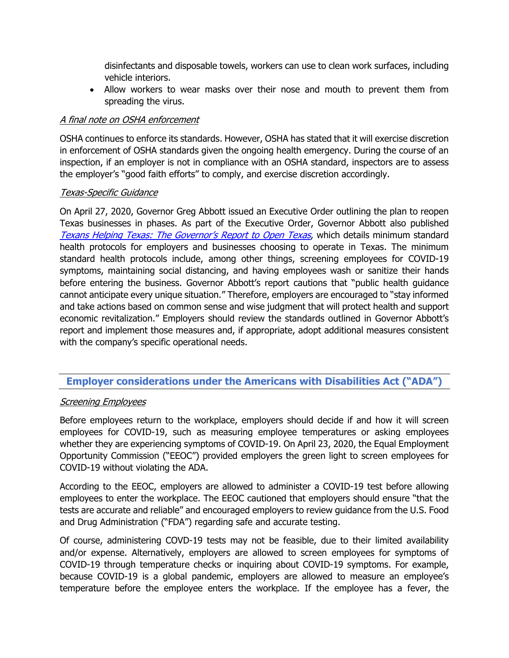<span id="page-3-0"></span>disinfectants and disposable towels, workers can use to clean work surfaces, including vehicle interiors.

 Allow workers to wear masks over their nose and mouth to prevent them from spreading the virus.

#### A final note on OSHA enforcement

OSHA continues to enforce its standards. However, OSHA has stated that it will exercise discretion in enforcement of OSHA standards given the ongoing health emergency. During the course of an inspection, if an employer is not in compliance with an OSHA standard, inspectors are to assess the employer's "good faith efforts" to comply, and exercise discretion accordingly.

#### Texas-Specific Guidance

On April 27, 2020, Governor Greg Abbott issued an Executive Order outlining the plan to reopen Texas businesses in phases. As part of the Executive Order, Governor Abbott also published [Texans Helping Texas: The Governor's Report to Open Texas](https://gov.texas.gov/uploads/files/organization/opentexas/OpenTexas-Report.pdf), which details minimum standard health protocols for employers and businesses choosing to operate in Texas. The minimum standard health protocols include, among other things, screening employees for COVID-19 symptoms, maintaining social distancing, and having employees wash or sanitize their hands before entering the business. Governor Abbott's report cautions that "public health guidance cannot anticipate every unique situation." Therefore, employers are encouraged to "stay informed and take actions based on common sense and wise judgment that will protect health and support economic revitalization." Employers should review the standards outlined in Governor Abbott's report and implement those measures and, if appropriate, adopt additional measures consistent with the company's specific operational needs.

# **Employer considerations under the Americans with Disabilities Act ("ADA")**

## **Screening Employees**

Before employees return to the workplace, employers should decide if and how it will screen employees for COVID-19, such as measuring employee temperatures or asking employees whether they are experiencing symptoms of COVID-19. On April 23, 2020, the Equal Employment Opportunity Commission ("EEOC") provided employers the green light to screen employees for COVID-19 without violating the ADA.

According to the EEOC, employers are allowed to administer a COVID-19 test before allowing employees to enter the workplace. The EEOC cautioned that employers should ensure "that the tests are accurate and reliable" and encouraged employers to review guidance from the U.S. Food and Drug Administration ("FDA") regarding safe and accurate testing.

Of course, administering COVD-19 tests may not be feasible, due to their limited availability and/or expense. Alternatively, employers are allowed to screen employees for symptoms of COVID-19 through temperature checks or inquiring about COVID-19 symptoms. For example, because COVID-19 is a global pandemic, employers are allowed to measure an employee's temperature before the employee enters the workplace. If the employee has a fever, the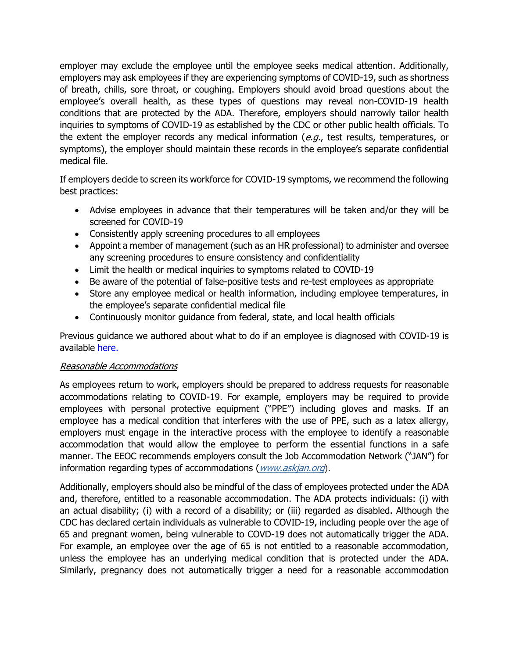employer may exclude the employee until the employee seeks medical attention. Additionally, employers may ask employees if they are experiencing symptoms of COVID-19, such as shortness of breath, chills, sore throat, or coughing. Employers should avoid broad questions about the employee's overall health, as these types of questions may reveal non-COVID-19 health conditions that are protected by the ADA. Therefore, employers should narrowly tailor health inquiries to symptoms of COVID-19 as established by the CDC or other public health officials. To the extent the employer records any medical information ( $e.g.,$  test results, temperatures, or symptoms), the employer should maintain these records in the employee's separate confidential medical file.

If employers decide to screen its workforce for COVID-19 symptoms, we recommend the following best practices:

- Advise employees in advance that their temperatures will be taken and/or they will be screened for COVID-19
- Consistently apply screening procedures to all employees
- Appoint a member of management (such as an HR professional) to administer and oversee any screening procedures to ensure consistency and confidentiality
- Limit the health or medical inquiries to symptoms related to COVID-19
- Be aware of the potential of false-positive tests and re-test employees as appropriate
- Store any employee medical or health information, including employee temperatures, in the employee's separate confidential medical file
- Continuously monitor guidance from federal, state, and local health officials

Previous guidance we authored about what to do if an employee is diagnosed with COVID-19 is available [here.](http://www.mcginnislaw.com/news/post/covid-19-common-questions-answered) 

#### Reasonable Accommodations

As employees return to work, employers should be prepared to address requests for reasonable accommodations relating to COVID-19. For example, employers may be required to provide employees with personal protective equipment ("PPE") including gloves and masks. If an employee has a medical condition that interferes with the use of PPE, such as a latex allergy, employers must engage in the interactive process with the employee to identify a reasonable accommodation that would allow the employee to perform the essential functions in a safe manner. The EEOC recommends employers consult the Job Accommodation Network ("JAN") for information regarding types of accommodations (www.askjan.org).

Additionally, employers should also be mindful of the class of employees protected under the ADA and, therefore, entitled to a reasonable accommodation. The ADA protects individuals: (i) with an actual disability; (i) with a record of a disability; or (iii) regarded as disabled. Although the CDC has declared certain individuals as vulnerable to COVID-19, including people over the age of 65 and pregnant women, being vulnerable to COVD-19 does not automatically trigger the ADA. For example, an employee over the age of 65 is not entitled to a reasonable accommodation, unless the employee has an underlying medical condition that is protected under the ADA. Similarly, pregnancy does not automatically trigger a need for a reasonable accommodation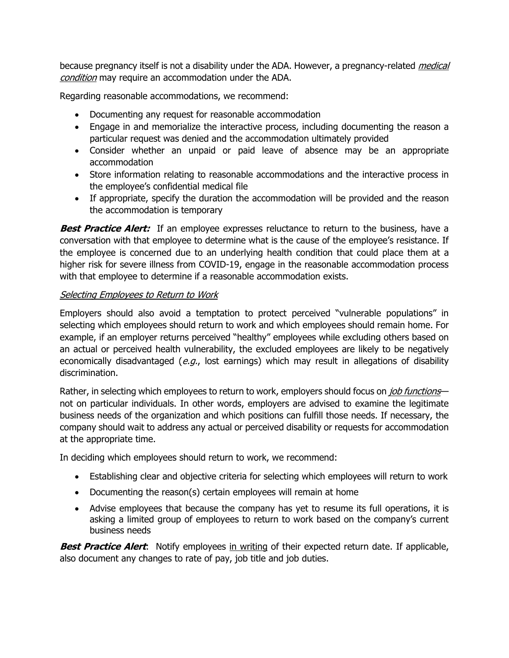because pregnancy itself is not a disability under the ADA. However, a pregnancy-related *medical* condition</u> may require an accommodation under the ADA.

Regarding reasonable accommodations, we recommend:

- Documenting any request for reasonable accommodation
- Engage in and memorialize the interactive process, including documenting the reason a particular request was denied and the accommodation ultimately provided
- Consider whether an unpaid or paid leave of absence may be an appropriate accommodation
- Store information relating to reasonable accommodations and the interactive process in the employee's confidential medical file
- If appropriate, specify the duration the accommodation will be provided and the reason the accommodation is temporary

**Best Practice Alert:** If an employee expresses reluctance to return to the business, have a conversation with that employee to determine what is the cause of the employee's resistance. If the employee is concerned due to an underlying health condition that could place them at a higher risk for severe illness from COVID-19, engage in the reasonable accommodation process with that employee to determine if a reasonable accommodation exists.

# Selecting Employees to Return to Work

Employers should also avoid a temptation to protect perceived "vulnerable populations" in selecting which employees should return to work and which employees should remain home. For example, if an employer returns perceived "healthy" employees while excluding others based on an actual or perceived health vulnerability, the excluded employees are likely to be negatively economically disadvantaged ( $e.g.,$  lost earnings) which may result in allegations of disability discrimination.

Rather, in selecting which employees to return to work, employers should focus on *job functions* not on particular individuals. In other words, employers are advised to examine the legitimate business needs of the organization and which positions can fulfill those needs. If necessary, the company should wait to address any actual or perceived disability or requests for accommodation at the appropriate time.

In deciding which employees should return to work, we recommend:

- Establishing clear and objective criteria for selecting which employees will return to work
- Documenting the reason(s) certain employees will remain at home
- Advise employees that because the company has yet to resume its full operations, it is asking a limited group of employees to return to work based on the company's current business needs

**Best Practice Alert:** Notify employees in writing of their expected return date. If applicable, also document any changes to rate of pay, job title and job duties.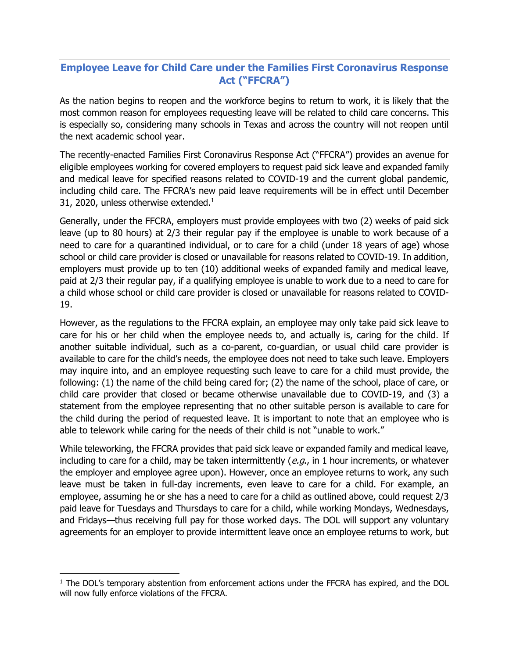# <span id="page-6-0"></span>**Employee Leave for Child Care under the Families First Coronavirus Response Act ("FFCRA")**

As the nation begins to reopen and the workforce begins to return to work, it is likely that the most common reason for employees requesting leave will be related to child care concerns. This is especially so, considering many schools in Texas and across the country will not reopen until the next academic school year.

The recently-enacted Families First Coronavirus Response Act ("FFCRA") provides an avenue for eligible employees working for covered employers to request paid sick leave and expanded family and medical leave for specified reasons related to COVID-19 and the current global pandemic, including child care. The FFCRA's new paid leave requirements will be in effect until December 31, 2020, unless otherwise extended. $1$ 

Generally, under the FFCRA, employers must provide employees with two (2) weeks of paid sick leave (up to 80 hours) at 2/3 their regular pay if the employee is unable to work because of a need to care for a quarantined individual, or to care for a child (under 18 years of age) whose school or child care provider is closed or unavailable for reasons related to COVID-19. In addition, employers must provide up to ten (10) additional weeks of expanded family and medical leave, paid at 2/3 their regular pay, if a qualifying employee is unable to work due to a need to care for a child whose school or child care provider is closed or unavailable for reasons related to COVID-19.

However, as the regulations to the FFCRA explain, an employee may only take paid sick leave to care for his or her child when the employee needs to, and actually is, caring for the child. If another suitable individual, such as a co-parent, co-guardian, or usual child care provider is available to care for the child's needs, the employee does not need to take such leave. Employers may inquire into, and an employee requesting such leave to care for a child must provide, the following: (1) the name of the child being cared for; (2) the name of the school, place of care, or child care provider that closed or became otherwise unavailable due to COVID-19, and (3) a statement from the employee representing that no other suitable person is available to care for the child during the period of requested leave. It is important to note that an employee who is able to telework while caring for the needs of their child is not "unable to work."

While teleworking, the FFCRA provides that paid sick leave or expanded family and medical leave, including to care for a child, may be taken intermittently  $(e.g.,$  in 1 hour increments, or whatever the employer and employee agree upon). However, once an employee returns to work, any such leave must be taken in full-day increments, even leave to care for a child. For example, an employee, assuming he or she has a need to care for a child as outlined above, could request 2/3 paid leave for Tuesdays and Thursdays to care for a child, while working Mondays, Wednesdays, and Fridays—thus receiving full pay for those worked days. The DOL will support any voluntary agreements for an employer to provide intermittent leave once an employee returns to work, but

 $<sup>1</sup>$  The DOL's temporary abstention from enforcement actions under the FFCRA has expired, and the DOL</sup> will now fully enforce violations of the FFCRA.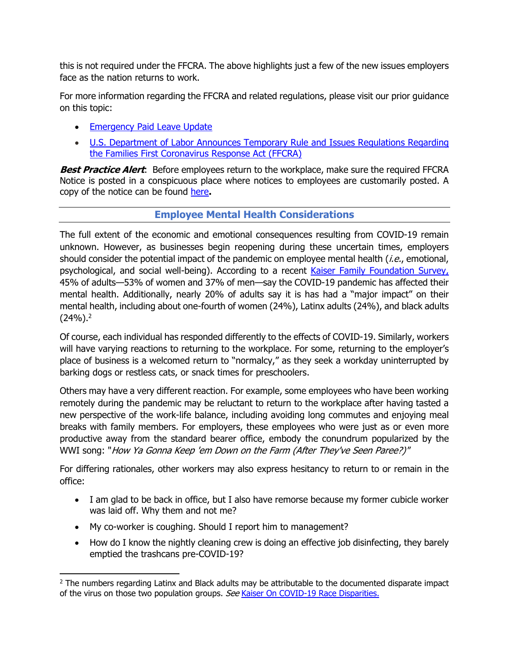<span id="page-7-0"></span>this is not required under the FFCRA. The above highlights just a few of the new issues employers face as the nation returns to work.

For more information regarding the FFCRA and related regulations, please visit our prior guidance on this topic:

- **[Emergency Paid Leave Update](http://www.mcginnislaw.com/news/post/covid-19-emergency-paid-leave-update)**
- [U.S. Department of Labor Announces Temporary Rule and Issues Regulations Regarding](http://www.mcginnislaw.com/news/post/u.s.-department-of-labor-announces-temporary-rule-and-issues-regulations-regarding-the-families-first-coronavirus-response-act) the Families First Coronavirus Response Act (FFCRA)

**Best Practice Alert**: Before employees return to the workplace, make sure the required FFCRA Notice is posted in a conspicuous place where notices to employees are customarily posted. A copy of the notice can be found [here](https://www.dol.gov/sites/dolgov/files/WHD/posters/FFCRA_Poster_WH1422_Non-Federal.pdf)**.** 

# **Employee Mental Health Considerations**

The full extent of the economic and emotional consequences resulting from COVID-19 remain unknown. However, as businesses begin reopening during these uncertain times, employers should consider the potential impact of the pandemic on employee mental health  $(i.e.,$  emotional, psychological, and social well-being). According to a recent [Kaiser Family Foundation Survey,](https://www.kff.org/health-reform/report/kff-health-tracking-poll-early-april-2020/) 45% of adults—53% of women and 37% of men—say the COVID-19 pandemic has affected their mental health. Additionally, nearly 20% of adults say it is has had a "major impact" on their mental health, including about one-fourth of women (24%), Latinx adults (24%), and black adults  $(24%)<sup>2</sup>$ 

Of course, each individual has responded differently to the effects of COVID-19. Similarly, workers will have varying reactions to returning to the workplace. For some, returning to the employer's place of business is a welcomed return to "normalcy," as they seek a workday uninterrupted by barking dogs or restless cats, or snack times for preschoolers.

Others may have a very different reaction. For example, some employees who have been working remotely during the pandemic may be reluctant to return to the workplace after having tasted a new perspective of the work-life balance, including avoiding long commutes and enjoying meal breaks with family members. For employers, these employees who were just as or even more productive away from the standard bearer office, embody the conundrum popularized by the WWI song: "How Ya Gonna Keep 'em Down on the Farm (After They've Seen Paree?)"

For differing rationales, other workers may also express hesitancy to return to or remain in the office:

- I am glad to be back in office, but I also have remorse because my former cubicle worker was laid off. Why them and not me?
- My co-worker is coughing. Should I report him to management?

• How do I know the nightly cleaning crew is doing an effective job disinfecting, they barely emptied the trashcans pre-COVID-19?

<sup>&</sup>lt;sup>2</sup> The numbers regarding Latinx and Black adults may be attributable to the documented disparate impact of the virus on those two population groups. See [Kaiser On COVID-19 Race Disparities.](https://www.kff.org/coronavirus-policy-watch/growing-data-underscore-communities-color-harder-hit-covid-19/)